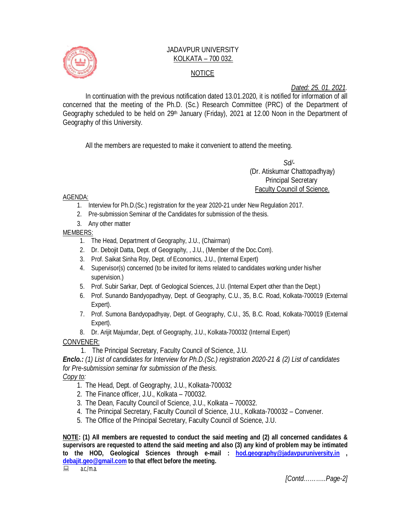

## JADAVPUR UNIVERSITY KOLKATA – 700 032. NOTICE

## *Dated: 25. 01. 2021.*

In continuation with the previous notification dated 13.01.2020, it is notified for information of all concerned that the meeting of the Ph.D. (Sc.) Research Committee (PRC) of the Department of Geography scheduled to be held on 29<sup>th</sup> January (Friday), 2021 at 12.00 Noon in the Department of Geography of this University.

All the members are requested to make it convenient to attend the meeting.

 *Sd/-*  (Dr. Atiskumar Chattopadhyay) Principal Secretary Faculty Council of Science.

AGENDA:

- 1. Interview for Ph.D.(Sc.) registration for the year 2020-21 under New Regulation 2017.
- 2. Pre-submission Seminar of the Candidates for submission of the thesis.
- 3. Any other matter

MEMBERS:

- 1. The Head, Department of Geography, J.U., (Chairman)
- 2. Dr. Debojit Datta, Dept. of Geography, , J.U., (Member of the Doc.Com).
- 3. Prof. Saikat Sinha Roy, Dept. of Economics, J.U., (Internal Expert)
- 4. Supervisor(s) concerned (to be invited for items related to candidates working under his/her supervision.)
- 5. Prof. Subir Sarkar, Dept. of Geological Sciences, J.U. (Internal Expert other than the Dept.)
- 6. Prof. Sunando Bandyopadhyay, Dept. of Geography, C.U., 35, B.C. Road, Kolkata-700019 (External Expert).
- 7. Prof. Sumona Bandyopadhyay, Dept. of Geography, C.U., 35, B.C. Road, Kolkata-700019 (External Expert).
- 8. Dr. Arijit Majumdar, Dept. of Geography, J.U., Kolkata-700032 (Internal Expert)

CONVENER:

1. The Principal Secretary, Faculty Council of Science, J.U.

*Enclo.: (1) List of candidates for Interview for Ph.D.(Sc.) registration 2020-21 & (2) List of candidates for Pre-submission seminar for submission of the thesis.*

*Copy to:* 

- 1. The Head, Dept. of Geography, J.U., Kolkata-700032
- 2. The Finance officer, J.U., Kolkata 700032.
- 3. The Dean, Faculty Council of Science, J.U., Kolkata 700032.
- 4. The Principal Secretary, Faculty Council of Science, J.U., Kolkata-700032 Convener.
- 5. The Office of the Principal Secretary, Faculty Council of Science, J.U.

**NOTE: (1) All members are requested to conduct the said meeting and (2) all concerned candidates & supervisors are requested to attend the said meeting and also (3) any kind of problem may be intimated to the HOD, Geological Sciences through e-mail : hod.geography@jadavpuruniversity.in , debajit.geo@gmail.com** to that effect before the meeting.<br>
<br>
<br> **■ AC/ma** 

a.c./m.a.